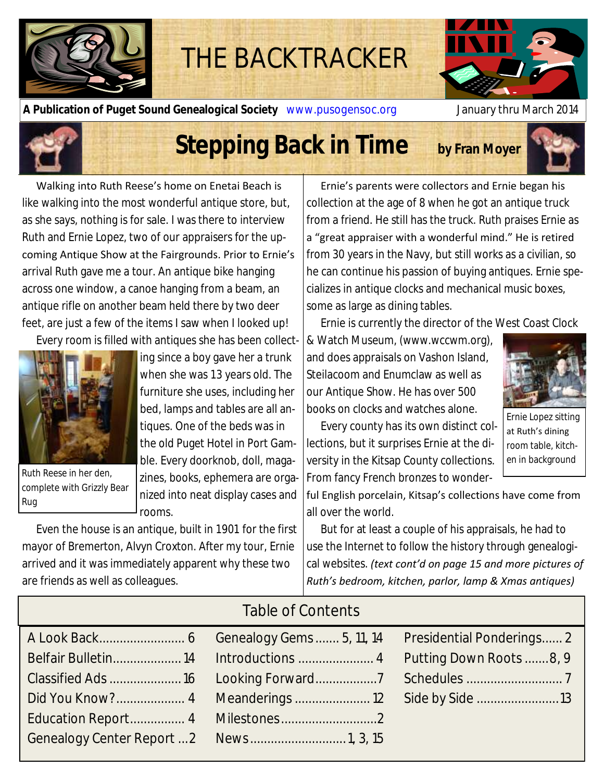

# THE BACKTRACKER

**A Publication of Puget Sound Genealogical Society** www.pusogensoc.org January thru March 2014



# **Stepping Back in Time** by Fran Moyer



Walking into Ruth Reese's home on Enetai Beach is like walking into the most wonderful antique store, but, as she says, nothing is for sale. I was there to interview Ruth and Ernie Lopez, two of our appraisers for the upcoming Antique Show at the Fairgrounds. Prior to Ernie's arrival Ruth gave me a tour. An antique bike hanging across one window, a canoe hanging from a beam, an antique rifle on another beam held there by two deer feet, are just a few of the items I saw when I looked up!

Every room is filled with antiques she has been collect-



Ruth Reese in her den, complete with Grizzly Bear Rug

ing since a boy gave her a trunk when she was 13 years old. The furniture she uses, including her bed, lamps and tables are all antiques. One of the beds was in the old Puget Hotel in Port Gamble. Every doorknob, doll, magazines, books, ephemera are organized into neat display cases and rooms.

Even the house is an antique, built in 1901 for the first mayor of Bremerton, Alvyn Croxton. After my tour, Ernie arrived and it was immediately apparent why these two are friends as well as colleagues.

Ernie's parents were collectors and Ernie began his collection at the age of 8 when he got an antique truck from a friend. He still has the truck. Ruth praises Ernie as a "great appraiser with a wonderful mind." He is retired from 30 years in the Navy, but still works as a civilian, so he can continue his passion of buying antiques. Ernie specializes in antique clocks and mechanical music boxes, some as large as dining tables.

Ernie is currently the director of the West Coast Clock

& Watch Museum, (www.wccwm.org), and does appraisals on Vashon Island, Steilacoom and Enumclaw as well as our Antique Show. He has over 500 books on clocks and watches alone.



Ernie Lopez sitting at Ruth's dining room table, kitchen in background

Every county has its own distinct collections, but it surprises Ernie at the diversity in the Kitsap County collections. From fancy French bronzes to wonder-

ful English porcelain, Kitsap's collections have come from all over the world.

But for at least a couple of his appraisals, he had to use the Internet to follow the history through genealogical websites. *(text cont'd on page 15 and more pictures of Ruth's bedroom, kitchen, parlor, lamp & Xmas antiques)*

| Table of Contents |  |
|-------------------|--|
|                   |  |
|                   |  |
|                   |  |
|                   |  |
|                   |  |
|                   |  |

## Table of Contents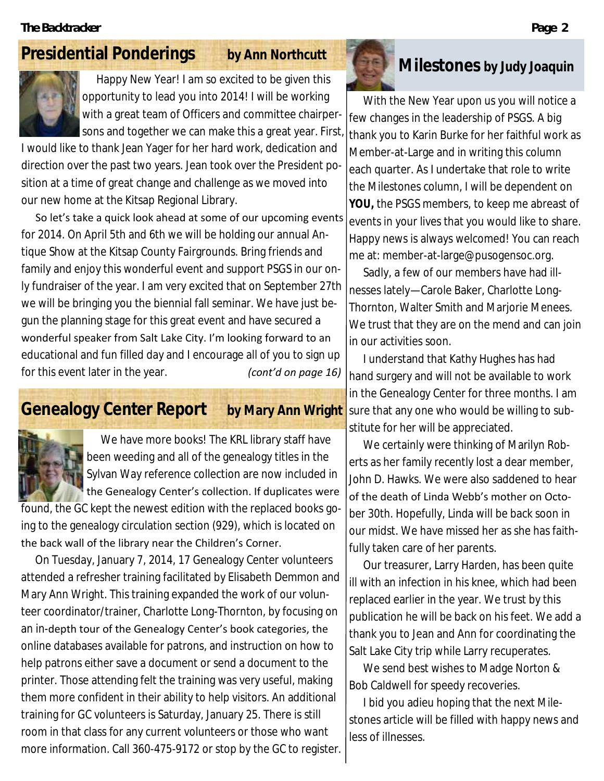# **Presidential Ponderings by Ann Northcutt**



Happy New Year! I am so excited to be given this opportunity to lead you into 2014! I will be working with a great team of Officers and committee chairpersons and together we can make this a great year. First

I would like to thank Jean Yager for her hard work, dedication and direction over the past two years. Jean took over the President position at a time of great change and challenge as we moved into our new home at the Kitsap Regional Library.

So let's take a quick look ahead at some of our upcoming events for 2014. On April 5th and 6th we will be holding our annual Antique Show at the Kitsap County Fairgrounds. Bring friends and family and enjoy this wonderful event and support PSGS in our only fundraiser of the year. I am very excited that on September 27th we will be bringing you the biennial fall seminar. We have just begun the planning stage for this great event and have secured a wonderful speaker from Salt Lake City. I'm looking forward to an educational and fun filled day and I encourage all of you to sign up for this event later in the year. *(cont'd on page 16)*

# **Genealogy Center Report by Mary Ann Wright**



We have more books! The KRL library staff have been weeding and all of the genealogy titles in the Sylvan Way reference collection are now included in the Genealogy Center's collection. If duplicates were

found, the GC kept the newest edition with the replaced books going to the genealogy circulation section (929), which is located on the back wall of the library near the Children's Corner.

On Tuesday, January 7, 2014, 17 Genealogy Center volunteers attended a refresher training facilitated by Elisabeth Demmon and Mary Ann Wright. This training expanded the work of our volunteer coordinator/trainer, Charlotte Long-Thornton, by focusing on an in-depth tour of the Genealogy Center's book categories, the online databases available for patrons, and instruction on how to help patrons either save a document or send a document to the printer. Those attending felt the training was very useful, making them more confident in their ability to help visitors. An additional training for GC volunteers is Saturday, January 25. There is still room in that class for any current volunteers or those who want more information. Call 360-475-9172 or stop by the GC to register.



# **Milestones by Judy Joaquin**

With the New Year upon us you will notice a few changes in the leadership of PSGS. A big thank you to Karin Burke for her faithful work as Member-at-Large and in writing this column each quarter. As I undertake that role to write the Milestones column, I will be dependent on **YOU,** the PSGS members, to keep me abreast of events in your lives that you would like to share. Happy news is always welcomed! You can reach me at: member-at-large@pusogensoc.org.

Sadly, a few of our members have had illnesses lately—Carole Baker, Charlotte Long-Thornton, Walter Smith and Marjorie Menees. We trust that they are on the mend and can join in our activities soon.

I understand that Kathy Hughes has had hand surgery and will not be available to work in the Genealogy Center for three months. I am sure that any one who would be willing to substitute for her will be appreciated.

We certainly were thinking of Marilyn Roberts as her family recently lost a dear member, John D. Hawks. We were also saddened to hear of the death of Linda Webb's mother on October 30th. Hopefully, Linda will be back soon in our midst. We have missed her as she has faithfully taken care of her parents.

Our treasurer, Larry Harden, has been quite ill with an infection in his knee, which had been replaced earlier in the year. We trust by this publication he will be back on his feet. We add a thank you to Jean and Ann for coordinating the Salt Lake City trip while Larry recuperates.

We send best wishes to Madge Norton & Bob Caldwell for speedy recoveries.

I bid you adieu hoping that the next Milestones article will be filled with happy news and less of illnesses.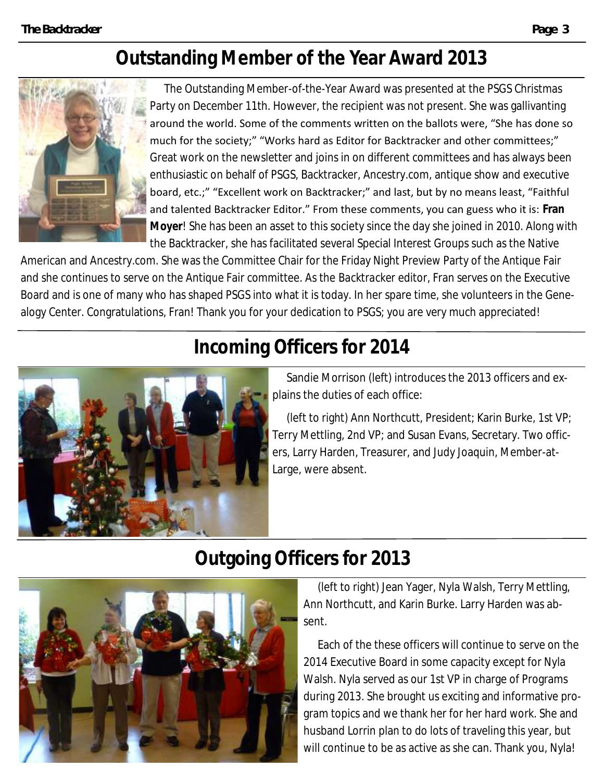# **Outstanding Member of the Year Award 2013**



The Outstanding Member-of-the-Year Award was presented at the PSGS Christmas Party on December 11th. However, the recipient was not present. She was gallivanting around the world. Some of the comments written on the ballots were, "She has done so much for the society;" "Works hard as Editor for Backtracker and other committees;" Great work on the newsletter and joins in on different committees and has always been enthusiastic on behalf of PSGS, Backtracker, Ancestry.com, antique show and executive board, etc.;" "Excellent work on Backtracker;" and last, but by no means least, "Faithful and talented Backtracker Editor." From these comments, you can guess who it is: **Fran Moyer**! She has been an asset to this society since the day she joined in 2010. Along with the Backtracker, she has facilitated several Special Interest Groups such as the Native

American and Ancestry.com. She was the Committee Chair for the Friday Night Preview Party of the Antique Fair and she continues to serve on the Antique Fair committee. As the *Backtracker* editor, Fran serves on the Executive Board and is one of many who has shaped PSGS into what it is today. In her spare time, she volunteers in the Genealogy Center. Congratulations, Fran! Thank you for your dedication to PSGS; you are very much appreciated!

# **Incoming Officers for 2014**



Sandie Morrison (left) introduces the 2013 officers and explains the duties of each office:

(left to right) Ann Northcutt, President; Karin Burke, 1st VP; Terry Mettling, 2nd VP; and Susan Evans, Secretary. Two officers, Larry Harden, Treasurer, and Judy Joaquin, Member-at-Large, were absent.

# **Outgoing Officers for 2013**



(left to right) Jean Yager, Nyla Walsh, Terry Mettling, Ann Northcutt, and Karin Burke. Larry Harden was absent.

Each of the these officers will continue to serve on the 2014 Executive Board in some capacity except for Nyla Walsh. Nyla served as our 1st VP in charge of Programs during 2013. She brought us exciting and informative program topics and we thank her for her hard work. She and husband Lorrin plan to do lots of traveling this year, but will continue to be as active as she can. Thank you, Nyla!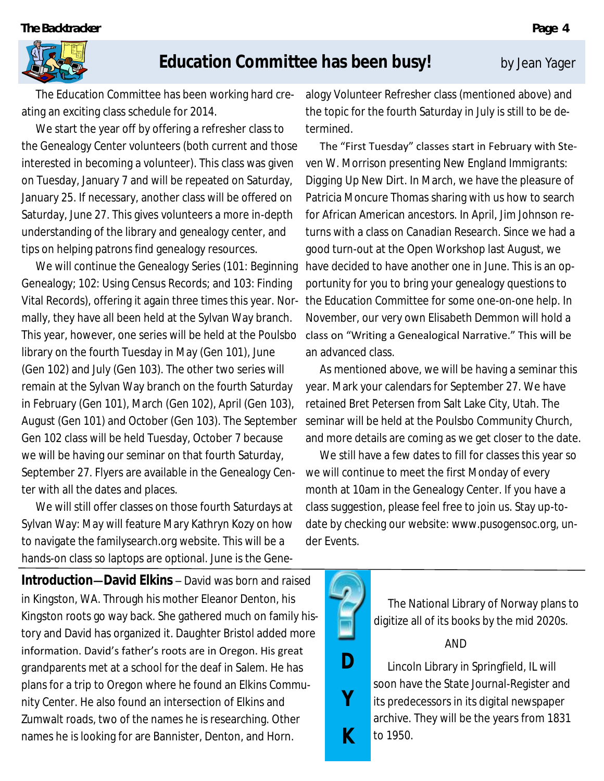

# **Education Committee has been busy!** by Jean Yager

The Education Committee has been working hard creating an exciting class schedule for 2014.

We start the year off by offering a refresher class to the Genealogy Center volunteers (both current and those interested in becoming a volunteer). This class was given on Tuesday, January 7 and will be repeated on Saturday, January 25. If necessary, another class will be offered on Saturday, June 27. This gives volunteers a more in-depth understanding of the library and genealogy center, and tips on helping patrons find genealogy resources.

We will continue the Genealogy Series (101: Beginning Genealogy; 102: Using Census Records; and 103: Finding Vital Records), offering it again three times this year. Normally, they have all been held at the Sylvan Way branch. This year, however, one series will be held at the Poulsbo library on the fourth Tuesday in May (Gen 101), June (Gen 102) and July (Gen 103). The other two series will remain at the Sylvan Way branch on the fourth Saturday in February (Gen 101), March (Gen 102), April (Gen 103), August (Gen 101) and October (Gen 103). The September Gen 102 class will be held Tuesday, October 7 because we will be having our seminar on that fourth Saturday, September 27. Flyers are available in the Genealogy Center with all the dates and places.

We will still offer classes on those fourth Saturdays at Sylvan Way: May will feature Mary Kathryn Kozy on how to navigate the familysearch.org website. This will be a hands-on class so laptops are optional. June is the Gene-

**Introduction—David Elkins** – David was born and raised in Kingston, WA. Through his mother Eleanor Denton, his Kingston roots go way back. She gathered much on family history and David has organized it. Daughter Bristol added more information. David's father's roots are in Oregon. His great grandparents met at a school for the deaf in Salem. He has plans for a trip to Oregon where he found an Elkins Community Center. He also found an intersection of Elkins and Zumwalt roads, two of the names he is researching. Other names he is looking for are Bannister, Denton, and Horn.

alogy Volunteer Refresher class (mentioned above) and the topic for the fourth Saturday in July is still to be determined.

The "First Tuesday" classes start in February with Steven W. Morrison presenting *New England Immigrants: Digging Up New Dirt*. In March, we have the pleasure of Patricia Moncure Thomas sharing with us how to search for African American ancestors. In April, Jim Johnson returns with a class on *Canadian Research*. Since we had a good turn-out at the Open Workshop last August, we have decided to have another one in June. This is an opportunity for you to bring your genealogy questions to the Education Committee for some one-on-one help. In November, our very own Elisabeth Demmon will hold a class on "Writing a Genealogical Narrative." This will be an advanced class.

As mentioned above, we will be having a seminar this year. Mark your calendars for September 27. We have retained Bret Petersen from Salt Lake City, Utah. The seminar will be held at the Poulsbo Community Church, and more details are coming as we get closer to the date.

We still have a few dates to fill for classes this year so we will continue to meet the first Monday of every month at 10am in the Genealogy Center. If you have a class suggestion, please feel free to join us. Stay up-todate by checking our website: www.pusogensoc.org, under Events.



The National Library of Norway plans to digitize all of its books by the mid 2020s.

### AND

Lincoln Library in Springfield, IL will soon have the State Journal-Register and its predecessors in its digital newspaper archive. They will be the years from 1831 to 1950.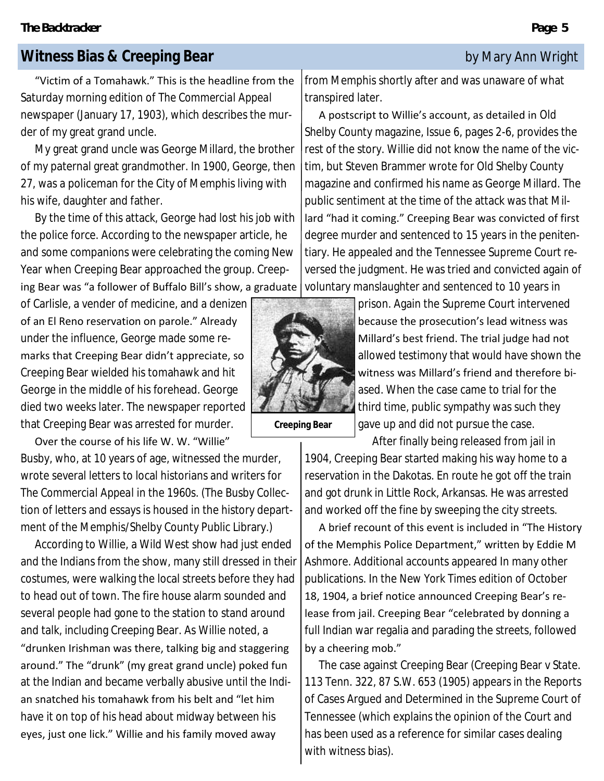## **Witness Bias & Creeping Bear by Mary Ann Wright**

"Victim of a Tomahawk." This is the headline from the Saturday morning edition of *The Commercial Appeal*  newspaper (January 17, 1903), which describes the murder of my great grand uncle.

My great grand uncle was George Millard, the brother of my paternal great grandmother. In 1900, George, then 27, was a policeman for the City of Memphis living with his wife, daughter and father.

By the time of this attack, George had lost his job with the police force. According to the newspaper article, he and some companions were celebrating the coming New Year when Creeping Bear approached the group. Creep-

ing Bear was "a follower of Buffalo Bill's show, a graduate

of Carlisle, a vender of medicine, and a denizen of an El Reno reservation on parole." Already under the influence, George made some remarks that Creeping Bear didn't appreciate, so Creeping Bear wielded his tomahawk and hit George in the middle of his forehead. George died two weeks later. The newspaper reported that Creeping Bear was arrested for murder.

Over the course of his life W. W. "Willie" Busby, who, at 10 years of age, witnessed the murder, wrote several letters to local historians and writers for *The Commercial Appeal* in the 1960s. (The Busby Collection of letters and essays is housed in the history department of the Memphis/Shelby County Public Library.)

According to Willie, a Wild West show had just ended and the Indians from the show, many still dressed in their costumes, were walking the local streets before they had to head out of town. The fire house alarm sounded and several people had gone to the station to stand around and talk, including Creeping Bear. As Willie noted, a "drunken Irishman was there, talking big and staggering around." The "drunk" (my great grand uncle) poked fun at the Indian and became verbally abusive until the Indian snatched his tomahawk from his belt and "let him have it on top of his head about midway between his eyes, just one lick." Willie and his family moved away

from Memphis shortly after and was unaware of what transpired later.

A postscript to Willie's account, as detailed in *Old Shelby County* magazine, Issue 6, pages 2-6, provides the rest of the story. Willie did not know the name of the victim, but Steven Brammer wrote for *Old Shelby County* magazine and confirmed his name as George Millard. The public sentiment at the time of the attack was that Millard "had it coming." Creeping Bear was convicted of first degree murder and sentenced to 15 years in the penitentiary. He appealed and the Tennessee Supreme Court reversed the judgment. He was tried and convicted again of voluntary manslaughter and sentenced to 10 years in

> prison. Again the Supreme Court intervened because the prosecution's lead witness was Millard's best friend. The trial judge had not allowed testimony that would have shown the witness was Millard's friend and therefore biased. When the case came to trial for the third time, public sympathy was such they gave up and did not pursue the case.

After finally being released from jail in 1904, Creeping Bear started making his way home to a reservation in the Dakotas. En route he got off the train and got drunk in Little Rock, Arkansas. He was arrested and worked off the fine by sweeping the city streets.

A brief recount of this event is included in "The History of the Memphis Police Department," written by Eddie M Ashmore. Additional accounts appeared In many other publications. In the *New York Times* edition of October 18, 1904, a brief notice announced Creeping Bear's release from jail. Creeping Bear "celebrated by donning a full Indian war regalia and parading the streets, followed by a cheering mob."

The case against Creeping Bear (Creeping Bear v State. 113 Tenn. 322, 87 S.W. 653 (1905) appears in the Reports of Cases Argued and Determined in the Supreme Court of Tennessee (which explains the opinion of the Court and has been used as a reference for similar cases dealing with witness bias).



**Creeping Bear**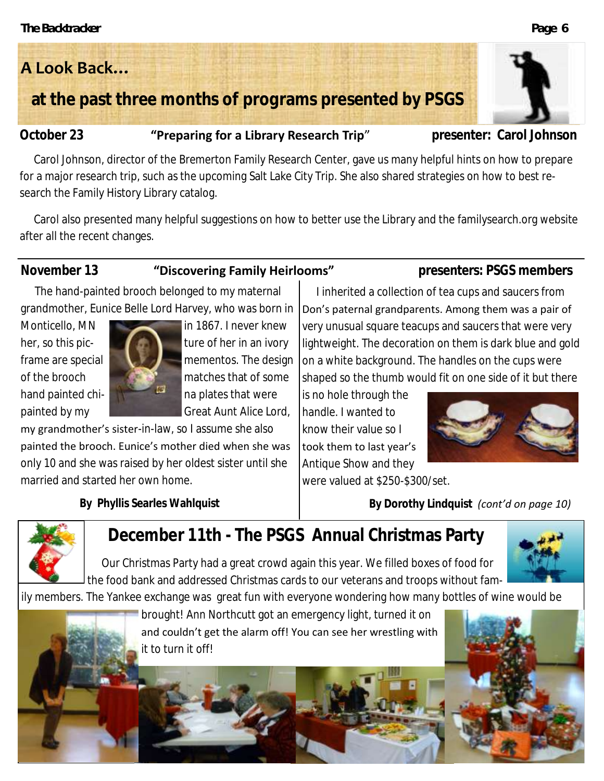# **A Look Back…**

# **at the past three months of programs presented by PSGS**

## **October 23 "Preparing for a Library Research Trip"** presenter: Carol Johnson

Carol Johnson, director of the Bremerton Family Research Center, gave us many helpful hints on how to prepare for a major research trip, such as the upcoming Salt Lake City Trip. She also shared strategies on how to best research the Family History Library catalog.

Carol also presented many helpful suggestions on how to better use the Library and the familysearch.org website after all the recent changes.

### November 13 **"Discovering Family Heirlooms"** presenters: PSGS members

The hand-painted brooch belonged to my maternal grandmother, Eunice Belle Lord Harvey, who was born in



Monticello, MN in 1867. I never knew her, so this pic- **the solution of the in** an ivory frame are special  $\Box$  mementos. The design of the brooch **matches that of some** hand painted chi- na plates that were painted by my Great Aunt Alice Lord,

my grandmother's sister-in-law, so I assume she also painted the brooch. Eunice's mother died when she was only 10 and she was raised by her oldest sister until she married and started her own home.

**By Phyllis Searles Wahlquist**

very unusual square teacups and saucers that were very lightweight. The decoration on them is dark blue and gold on a white background. The handles on the cups were shaped so the thumb would fit on one side of it but there is no hole through the

I inherited a collection of tea cups and saucers from Don's paternal grandparents. Among them was a pair of

handle. I wanted to know their value so I took them to last year's Antique Show and they were valued at \$250-\$300/set.



**By Dorothy Lindquist** *(cont'd on page 10)*



# **December 11th - The PSGS Annual Christmas Party**

Our Christmas Party had a great crowd again this year. We filled boxes of food for the food bank and addressed Christmas cards to our veterans and troops without fam-

ily members. The Yankee exchange was great fun with everyone wondering how many bottles of wine would be

brought! Ann Northcutt got an emergency light, turned it on and couldn't get the alarm off! You can see her wrestling with it to turn it off!

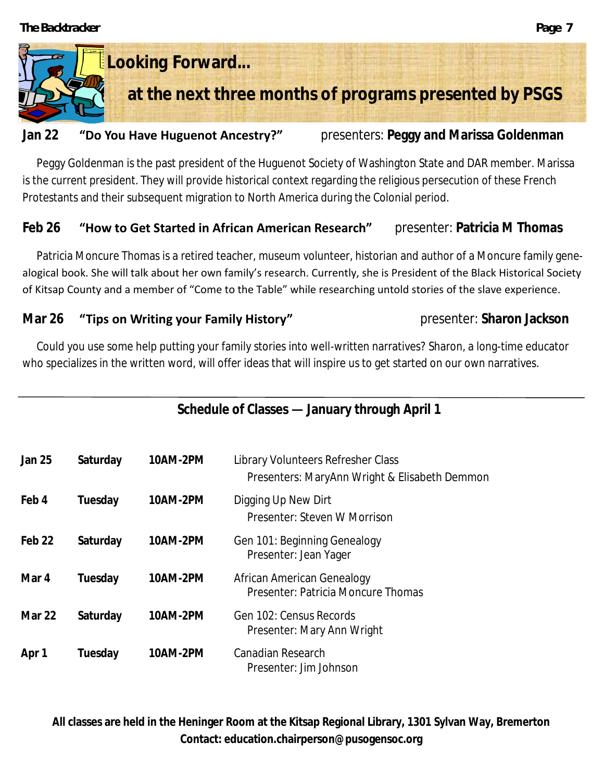

### **Jan 22 "Do You Have Huguenot Ancestry?"** presenters: **Peggy and Marissa Goldenman**

Peggy Goldenman is the past president of the Huguenot Society of Washington State and DAR member. Marissa is the current president. They will provide historical context regarding the religious persecution of these French Protestants and their subsequent migration to North America during the Colonial period.

## **Feb 26 "How to Get Started in African American Research"** presenter: **Patricia M Thomas**

Patricia Moncure Thomas is a retired teacher, museum volunteer, historian and author of a Moncure family genealogical book. She will talk about her own family's research. Currently, she is President of the Black Historical Society of Kitsap County and a member of "Come to the Table" while researching untold stories of the slave experience.

## **Mar 26 "Tips on Writing your Family History" presenter: Sharon Jackson**

Could you use some help putting your family stories into well-written narratives? Sharon, a long-time educator who specializes in the written word, will offer ideas that will inspire us to get started on our own narratives.

| Schedule of Classes - January through April 1 |          |          |                                                                                     |  |
|-----------------------------------------------|----------|----------|-------------------------------------------------------------------------------------|--|
| Jan 25                                        | Saturday | 10AM-2PM | Library Volunteers Refresher Class<br>Presenters: MaryAnn Wright & Elisabeth Demmon |  |
| Feb 4                                         | Tuesday  | 10AM-2PM | Digging Up New Dirt<br>Presenter: Steven W Morrison                                 |  |
| Feb 22                                        | Saturday | 10AM-2PM | Gen 101: Beginning Genealogy<br>Presenter: Jean Yager                               |  |
| Mar 4                                         | Tuesday  | 10AM-2PM | African American Genealogy<br>Presenter: Patricia Moncure Thomas                    |  |
| Mar 22                                        | Saturday | 10AM-2PM | Gen 102: Census Records<br>Presenter: Mary Ann Wright                               |  |
| Apr 1                                         | Tuesday  | 10AM-2PM | Canadian Research<br>Presenter: Jim Johnson                                         |  |

**All classes are held in the Heninger Room at the Kitsap Regional Library, 1301 Sylvan Way, Bremerton Contact: education.chairperson@pusogensoc.org**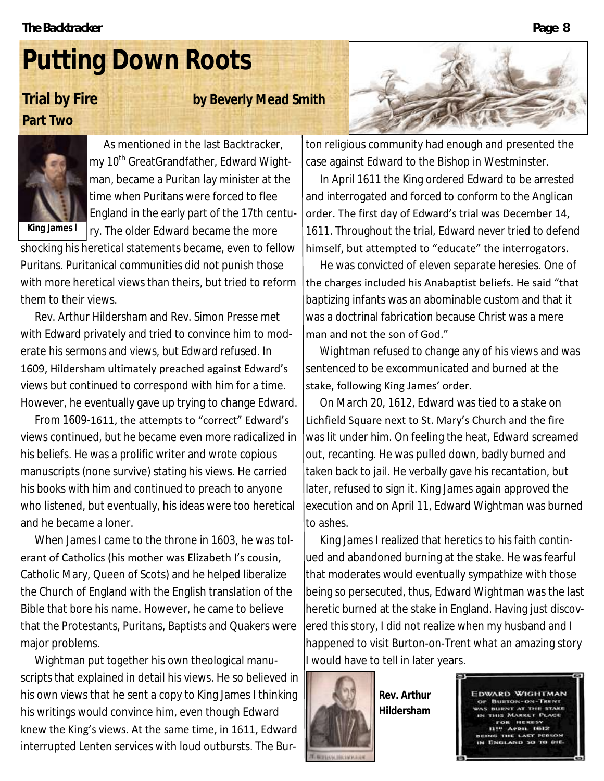# **Putting Down Roots**

# **Part Two**

**Trial by Fire by Beverly Mead Smith** 



As mentioned in the last *Backtracker*, my 10<sup>th</sup> GreatGrandfather, Edward Wightman, became a Puritan lay minister at the time when Puritans were forced to flee England in the early part of the 17th century. The older Edward became the more

shocking his heretical statements became, even to fellow Puritans. Puritanical communities did not punish those with more heretical views than theirs, but tried to reform them to their views.

Rev. Arthur Hildersham and Rev. Simon Presse met with Edward privately and tried to convince him to moderate his sermons and views, but Edward refused. In 1609, Hildersham ultimately preached against Edward's views but continued to correspond with him for a time. However, he eventually gave up trying to change Edward.

From 1609-1611, the attempts to "correct" Edward's views continued, but he became even more radicalized in his beliefs. He was a prolific writer and wrote copious manuscripts (none survive) stating his views. He carried his books with him and continued to preach to anyone who listened, but eventually, his ideas were too heretical and he became a loner.

When James I came to the throne in 1603, he was tolerant of Catholics (his mother was Elizabeth I's cousin, Catholic Mary, Queen of Scots) and he helped liberalize the Church of England with the English translation of the Bible that bore his name. However, he came to believe that the Protestants, Puritans, Baptists and Quakers were major problems.

Wightman put together his own theological manuscripts that explained in detail his views. He so believed in his own views that he sent a copy to King James I thinking his writings would convince him, even though Edward knew the King's views. At the same time, in 1611, Edward interrupted Lenten services with loud outbursts. The Bur-



ton religious community had enough and presented the case against Edward to the Bishop in Westminster.

In April 1611 the King ordered Edward to be arrested and interrogated and forced to conform to the Anglican order. The first day of Edward's trial was December 14, 1611. Throughout the trial, Edward never tried to defend himself, but attempted to "educate" the interrogators.

He was convicted of eleven separate heresies. One of the charges included his Anabaptist beliefs. He said "that baptizing infants was an abominable custom and that it was a doctrinal fabrication because Christ was a mere man and not the son of God."

Wightman refused to change any of his views and was sentenced to be excommunicated and burned at the stake, following King James' order.

On March 20, 1612, Edward was tied to a stake on Lichfield Square next to St. Mary's Church and the fire was lit under him. On feeling the heat, Edward screamed out, recanting. He was pulled down, badly burned and taken back to jail. He verbally gave his recantation, but later, refused to sign it. King James again approved the execution and on April 11, Edward Wightman was burned to ashes.

King James I realized that heretics to his faith continued and abandoned burning at the stake. He was fearful that moderates would eventually sympathize with those being so persecuted, thus, Edward Wightman was the last heretic burned at the stake in England. Having just discovered this story, I did not realize when my husband and I happened to visit Burton-on-Trent what an amazing story I would have to tell in later years.



**Rev. Arthur Hildersham**

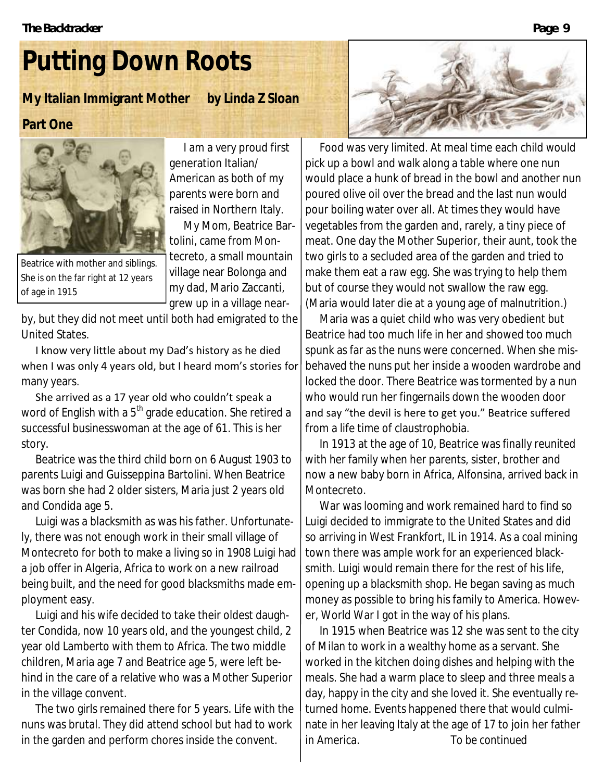# **Putting Down Roots**

**My Italian Immigrant Mother by Linda Z Sloan**

### **Part One**



I am a very proud first generation Italian/ American as both of my parents were born and raised in Northern Italy.

My Mom, Beatrice Bartolini, came from Mon-

Beatrice with mother and siblings. She is on the far right at 12 years of age in 1915

tecreto, a small mountain village near Bolonga and my dad, Mario Zaccanti, grew up in a village near-

by, but they did not meet until both had emigrated to the United States.

I know very little about my Dad's history as he died when I was only 4 years old, but I heard mom's stories for many years.

She arrived as a 17 year old who couldn't speak a word of English with a 5<sup>th</sup> grade education. She retired a successful businesswoman at the age of 61. This is her story.

Beatrice was the third child born on 6 August 1903 to parents Luigi and Guisseppina Bartolini. When Beatrice was born she had 2 older sisters, Maria just 2 years old and Condida age 5.

Luigi was a blacksmith as was his father. Unfortunately, there was not enough work in their small village of Montecreto for both to make a living so in 1908 Luigi had a job offer in Algeria, Africa to work on a new railroad being built, and the need for good blacksmiths made employment easy.

Luigi and his wife decided to take their oldest daughter Condida, now 10 years old, and the youngest child, 2 year old Lamberto with them to Africa. The two middle children, Maria age 7 and Beatrice age 5, were left behind in the care of a relative who was a Mother Superior in the village convent.

The two girls remained there for 5 years. Life with the nuns was brutal. They did attend school but had to work in the garden and perform chores inside the convent.



Food was very limited. At meal time each child would pick up a bowl and walk along a table where one nun would place a hunk of bread in the bowl and another nun poured olive oil over the bread and the last nun would pour boiling water over all. At times they would have vegetables from the garden and, rarely, a tiny piece of meat. One day the Mother Superior, their aunt, took the two girls to a secluded area of the garden and tried to make them eat a raw egg. She was trying to help them but of course they would not swallow the raw egg. (Maria would later die at a young age of malnutrition.)

Maria was a quiet child who was very obedient but Beatrice had too much life in her and showed too much spunk as far as the nuns were concerned. When she misbehaved the nuns put her inside a wooden wardrobe and locked the door. There Beatrice was tormented by a nun who would run her fingernails down the wooden door and say "the devil is here to get you." Beatrice suffered from a life time of claustrophobia.

In 1913 at the age of 10, Beatrice was finally reunited with her family when her parents, sister, brother and now a new baby born in Africa, Alfonsina, arrived back in Montecreto.

War was looming and work remained hard to find so Luigi decided to immigrate to the United States and did so arriving in West Frankfort, IL in 1914. As a coal mining town there was ample work for an experienced blacksmith. Luigi would remain there for the rest of his life, opening up a blacksmith shop. He began saving as much money as possible to bring his family to America. However, World War I got in the way of his plans.

In 1915 when Beatrice was 12 she was sent to the city of Milan to work in a wealthy home as a servant. She worked in the kitchen doing dishes and helping with the meals. She had a warm place to sleep and three meals a day, happy in the city and she loved it. She eventually returned home. Events happened there that would culminate in her leaving Italy at the age of 17 to join her father in America. *To be continued*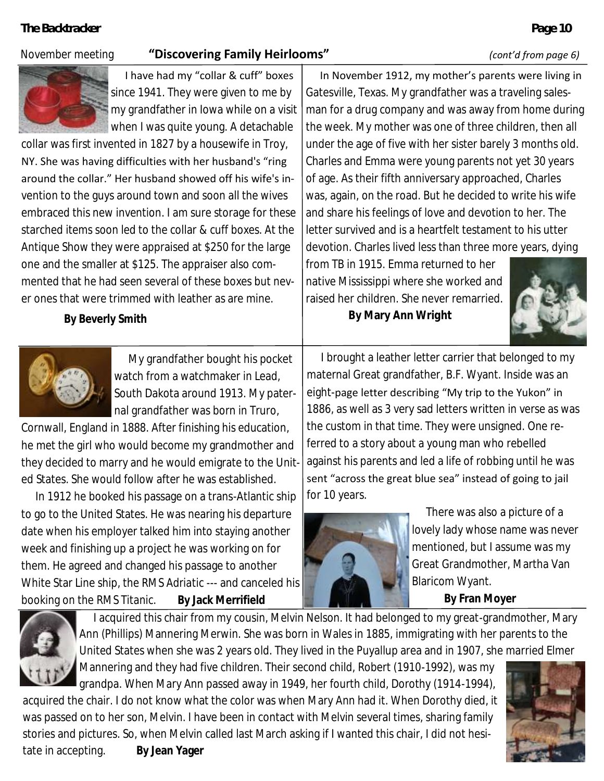### November meeting **"Discovering Family Heirlooms"** *(cont'd from page 6)*



I have had my "collar & cuff" boxes since 1941. They were given to me by my grandfather in Iowa while on a visit when I was quite young. A detachable

collar was first invented in 1827 by a housewife in Troy, NY. She was having difficulties with her husband's "ring around the collar." Her husband showed off his wife's invention to the guys around town and soon all the wives embraced this new invention. I am sure storage for these starched items soon led to the collar & cuff boxes. At the Antique Show they were appraised at \$250 for the large one and the smaller at \$125. The appraiser also commented that he had seen several of these boxes but never ones that were trimmed with leather as are mine.

**By Beverly Smith**



My grandfather bought his pocket watch from a watchmaker in Lead, South Dakota around 1913. My paternal grandfather was born in Truro,

Cornwall, England in 1888. After finishing his education, he met the girl who would become my grandmother and they decided to marry and he would emigrate to the United States. She would follow after he was established.

In 1912 he booked his passage on a trans-Atlantic ship to go to the United States. He was nearing his departure date when his employer talked him into staying another week and finishing up a project he was working on for them. He agreed and changed his passage to another White Star Line ship, the *RMS Adriatic* --- and canceled his booking on the *RMS Titanic*. **By Jack Merrifield**

In November 1912, my mother's parents were living in Gatesville, Texas. My grandfather was a traveling salesman for a drug company and was away from home during the week. My mother was one of three children, then all under the age of five with her sister barely 3 months old. Charles and Emma were young parents not yet 30 years of age. As their fifth anniversary approached, Charles was, again, on the road. But he decided to write his wife and share his feelings of love and devotion to her. The letter survived and is a heartfelt testament to his utter devotion. Charles lived less than three more years, dying

from TB in 1915. Emma returned to her native Mississippi where she worked and raised her children. She never remarried. **By Mary Ann Wright**



I brought a leather letter carrier that belonged to my maternal Great grandfather, B.F. Wyant. Inside was an eight-page letter describing "My trip to the Yukon" in 1886, as well as 3 very sad letters written in verse as was the custom in that time. They were unsigned. One referred to a story about a young man who rebelled against his parents and led a life of robbing until he was sent "across the great blue sea" instead of going to jail for 10 years.



There was also a picture of a lovely lady whose name was never mentioned, but I assume was my Great Grandmother, Martha Van Blaricom Wyant.

**By Fran Moyer**



I acquired this chair from my cousin, Melvin Nelson. It had belonged to my great-grandmother, Mary Ann (Phillips) Mannering Merwin. She was born in Wales in 1885, immigrating with her parents to the United States when she was 2 years old. They lived in the Puyallup area and in 1907, she married Elmer

Mannering and they had five children. Their second child, Robert (1910-1992), was my grandpa. When Mary Ann passed away in 1949, her fourth child, Dorothy (1914-1994), acquired the chair. I do not know what the color was when Mary Ann had it. When Dorothy died, it was passed on to her son, Melvin. I have been in contact with Melvin several times, sharing family stories and pictures. So, when Melvin called last March asking if I wanted this chair, I did not hesitate in accepting. **By Jean Yager**

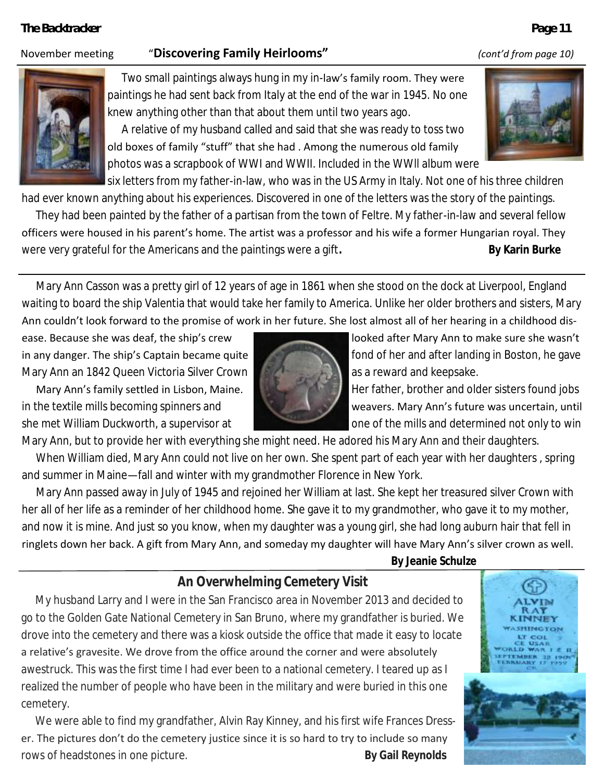### November meeting "**Discovering Family Heirlooms"** *(cont'd from page 10)*



Two small paintings always hung in my in-law's family room. They were paintings he had sent back from Italy at the end of the war in 1945. No one knew anything other than that about them until two years ago.

A relative of my husband called and said that she was ready to toss two old boxes of family "stuff" that she had . Among the numerous old family photos was a scrapbook of WWI and WWII. Included in the WWll album were

six letters from my father-in-law, who was in the US Army in Italy. Not one of his three children

had ever known anything about his experiences. Discovered in one of the letters was the story of the paintings.

They had been painted by the father of a partisan from the town of Feltre. My father-in-law and several fellow officers were housed in his parent's home. The artist was a professor and his wife a former Hungarian royal. They were very grateful for the Americans and the paintings were a gift. By Karin Burke

Mary Ann Casson was a pretty girl of 12 years of age in 1861 when she stood on the dock at Liverpool, England waiting to board the ship Valentia that would take her family to America. Unlike her older brothers and sisters, Mary Ann couldn't look forward to the promise of work in her future. She lost almost all of her hearing in a childhood dis-

ease. Because she was deaf, the ship's crew looked after Mary Ann to make sure she wasn't Mary Ann an 1842 Queen Victoria Silver Crown **and and structure and structure and keepsake**.



in any danger. The ship's Captain became quite for the state of her and after landing in Boston, he gave

Mary Ann's family settled in Lisbon, Maine. Her father, brother and older sisters found jobs in the textile mills becoming spinners and weavers. Mary Ann's future was uncertain, until she met William Duckworth, a supervisor at one of the mills and determined not only to win

Mary Ann, but to provide her with everything she might need. He adored his Mary Ann and their daughters.

When William died, Mary Ann could not live on her own. She spent part of each year with her daughters , spring and summer in Maine—fall and winter with my grandmother Florence in New York.

Mary Ann passed away in July of 1945 and rejoined her William at last. She kept her treasured silver Crown with her all of her life as a reminder of her childhood home. She gave it to my grandmother, who gave it to my mother, and now it is mine. And just so you know, when my daughter was a young girl, she had long auburn hair that fell in ringlets down her back. A gift from Mary Ann, and someday my daughter will have Mary Ann's silver crown as well. **By Jeanie Schulze** 

### **An Overwhelming Cemetery Visit**

My husband Larry and I were in the San Francisco area in November 2013 and decided to go to the Golden Gate National Cemetery in San Bruno, where my grandfather is buried. We drove into the cemetery and there was a kiosk outside the office that made it easy to locate a relative's gravesite. We drove from the office around the corner and were absolutely awestruck. This was the first time I had ever been to a national cemetery. I teared up as I realized the number of people who have been in the military and were buried in this one cemetery.

We were able to find my grandfather, Alvin Ray Kinney, and his first wife Frances Dresser. The pictures don't do the cemetery justice since it is so hard to try to include so many rows of headstones in one picture. **By Gail Reynolds** 



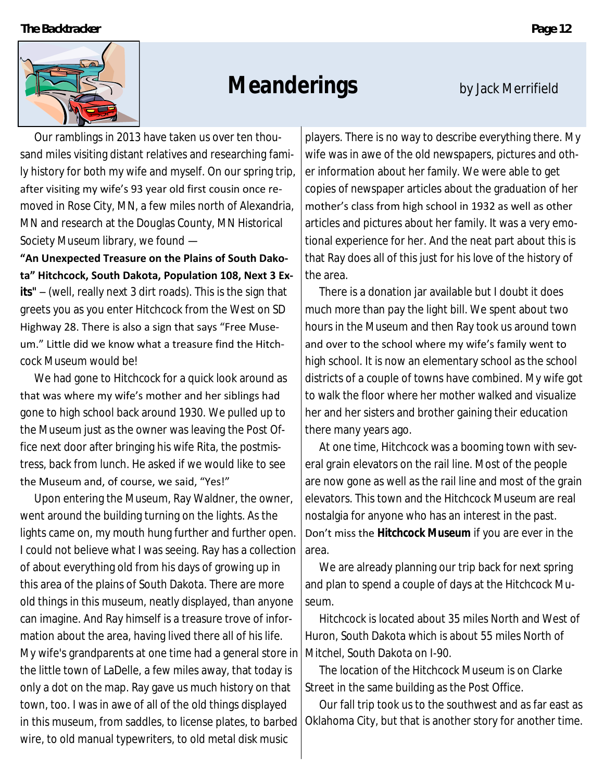

# **Meanderings** by Jack Merrifield

Our ramblings in 2013 have taken us over ten thousand miles visiting distant relatives and researching family history for both my wife and myself. On our spring trip, after visiting my wife's 93 year old first cousin once removed in Rose City, MN, a few miles north of Alexandria, MN and research at the Douglas County, MN Historical Society Museum library, we found —

**"An Unexpected Treasure on the Plains of South Dakota" Hitchcock, South Dakota, Population 108, Next 3 Exits"** – (well, really next 3 dirt roads). This is the sign that greets you as you enter Hitchcock from the West on SD Highway 28. There is also a sign that says "Free Museum." Little did we know what a treasure find the Hitchcock Museum would be!

We had gone to Hitchcock for a quick look around as that was where my wife's mother and her siblings had gone to high school back around 1930. We pulled up to the Museum just as the owner was leaving the Post Office next door after bringing his wife Rita, the postmistress, back from lunch. He asked if we would like to see the Museum and, of course, we said, "Yes!"

Upon entering the Museum, Ray Waldner, the owner, went around the building turning on the lights. As the lights came on, my mouth hung further and further open. I could not believe what I was seeing. Ray has a collection of about everything old from his days of growing up in this area of the plains of South Dakota. There are more old things in this museum, neatly displayed, than anyone can imagine. And Ray himself is a treasure trove of information about the area, having lived there all of his life. My wife's grandparents at one time had a general store in the little town of LaDelle, a few miles away, that today is only a dot on the map. Ray gave us much history on that town, too. I was in awe of all of the old things displayed in this museum, from saddles, to license plates, to barbed wire, to old manual typewriters, to old metal disk music

players. There is no way to describe everything there. My wife was in awe of the old newspapers, pictures and other information about her family. We were able to get copies of newspaper articles about the graduation of her mother's class from high school in 1932 as well as other articles and pictures about her family. It was a very emotional experience for her. And the neat part about this is that Ray does all of this just for his love of the history of the area.

There is a donation jar available but I doubt it does much more than pay the light bill. We spent about two hours in the Museum and then Ray took us around town and over to the school where my wife's family went to high school. It is now an elementary school as the school districts of a couple of towns have combined. My wife got to walk the floor where her mother walked and visualize her and her sisters and brother gaining their education there many years ago.

At one time, Hitchcock was a booming town with several grain elevators on the rail line. Most of the people are now gone as well as the rail line and most of the grain elevators. This town and the Hitchcock Museum are real nostalgia for anyone who has an interest in the past. Don't miss the **Hitchcock Museum** if you are ever in the area.

We are already planning our trip back for next spring and plan to spend a couple of days at the Hitchcock Museum.

Hitchcock is located about 35 miles North and West of Huron, South Dakota which is about 55 miles North of Mitchel, South Dakota on I-90.

The location of the Hitchcock Museum is on Clarke Street in the same building as the Post Office.

Our fall trip took us to the southwest and as far east as Oklahoma City, but that is another story for another time.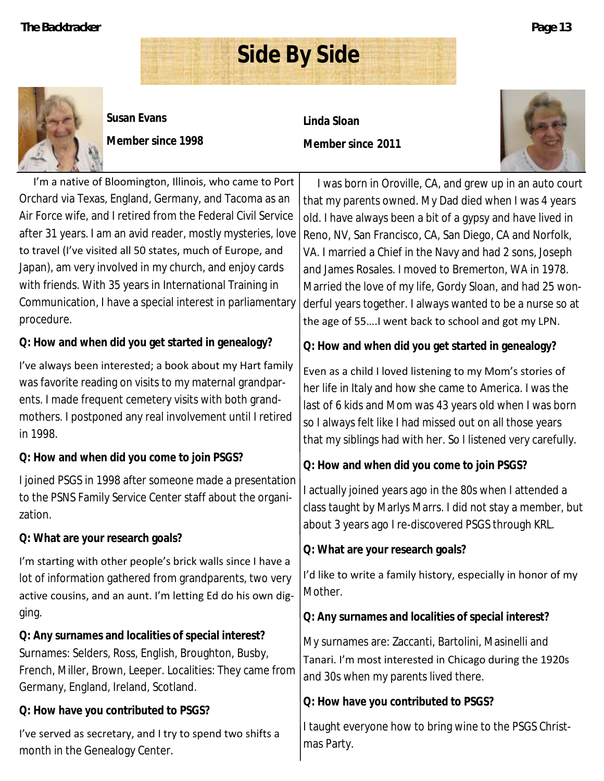

**Susan Evans**

**Member since 1998**

**Linda Sloan Member since 2011**

**Side By Side**



I'm a native of Bloomington, Illinois, who came to Port Orchard via Texas, England, Germany, and Tacoma as an Air Force wife, and I retired from the Federal Civil Service after 31 years. I am an avid reader, mostly mysteries, love to travel (I've visited all 50 states, much of Europe, and Japan), am very involved in my church, and enjoy cards with friends. With 35 years in International Training in Communication, I have a special interest in parliamentary procedure.

**Q: How and when did you get started in genealogy?**

I've always been interested; a book about my Hart family was favorite reading on visits to my maternal grandparents. I made frequent cemetery visits with both grandmothers. I postponed any real involvement until I retired in 1998.

**Q: How and when did you come to join PSGS?**

I joined PSGS in 1998 after someone made a presentation to the PSNS Family Service Center staff about the organization.

**Q: What are your research goals?**

I'm starting with other people's brick walls since I have a lot of information gathered from grandparents, two very active cousins, and an aunt. I'm letting Ed do his own digging.

**Q: Any surnames and localities of special interest?** Surnames: Selders, Ross, English, Broughton, Busby, French, Miller, Brown, Leeper. Localities: They came from Germany, England, Ireland, Scotland.

**Q: How have you contributed to PSGS?**

I've served as secretary, and I try to spend two shifts a month in the Genealogy Center.

I was born in Oroville, CA, and grew up in an auto court that my parents owned. My Dad died when I was 4 years old. I have always been a bit of a gypsy and have lived in Reno, NV, San Francisco, CA, San Diego, CA and Norfolk, VA. I married a Chief in the Navy and had 2 sons, Joseph and James Rosales. I moved to Bremerton, WA in 1978. Married the love of my life, Gordy Sloan, and had 25 wonderful years together. I always wanted to be a nurse so at the age of 55….I went back to school and got my LPN.

**Q: How and when did you get started in genealogy?**

Even as a child I loved listening to my Mom's stories of her life in Italy and how she came to America. I was the last of 6 kids and Mom was 43 years old when I was born so I always felt like I had missed out on all those years that my siblings had with her. So I listened very carefully.

**Q: How and when did you come to join PSGS?**

I actually joined years ago in the 80s when I attended a class taught by Marlys Marrs. I did not stay a member, but about 3 years ago I re-discovered PSGS through KRL.

**Q: What are your research goals?**

I'd like to write a family history, especially in honor of my Mother.

**Q: Any surnames and localities of special interest?**

My surnames are: Zaccanti, Bartolini, Masinelli and Tanari. I'm most interested in Chicago during the 1920s and 30s when my parents lived there.

**Q: How have you contributed to PSGS?**

I taught everyone how to bring wine to the PSGS Christmas Party.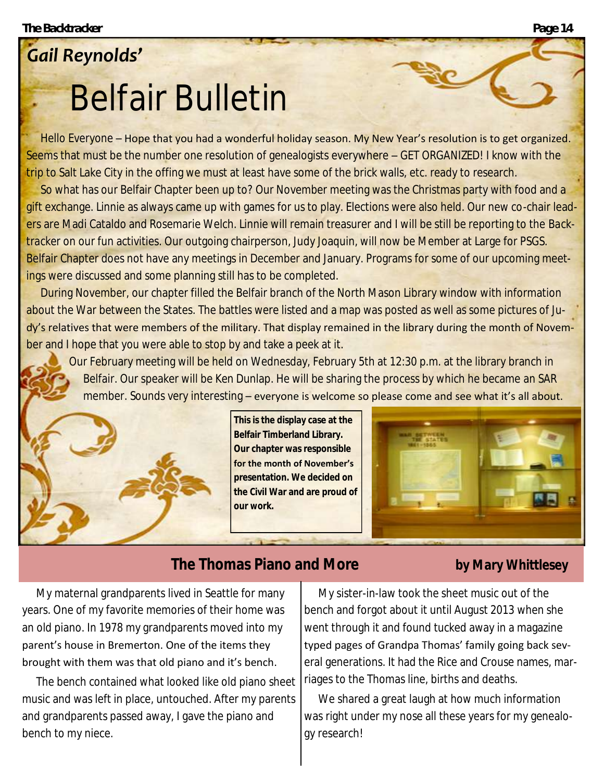# *Gail Reynolds'* Belfair Bulletin

Hello Everyone – Hope that you had a wonderful holiday season. My New Year's resolution is to get organized. Seems that must be the number one resolution of genealogists everywhere – GET ORGANIZED! I know with the trip to Salt Lake City in the offing we must at least have some of the brick walls, etc. ready to research.

So what has our Belfair Chapter been up to? Our November meeting was the Christmas party with food and a gift exchange. Linnie as always came up with games for us to play. Elections were also held. Our new co-chair leaders are Madi Cataldo and Rosemarie Welch. Linnie will remain treasurer and I will be still be reporting to the *Backtracker* on our fun activities. Our outgoing chairperson, Judy Joaquin, will now be Member at Large for PSGS. Belfair Chapter does not have any meetings in December and January. Programs for some of our upcoming meetings were discussed and some planning still has to be completed.

During November, our chapter filled the Belfair branch of the North Mason Library window with information about the War between the States. The battles were listed and a map was posted as well as some pictures of Judy's relatives that were members of the military. That display remained in the library during the month of November and I hope that you were able to stop by and take a peek at it.

Our February meeting will be held on Wednesday, February 5th at 12:30 p.m. at the library branch in Belfair. Our speaker will be Ken Dunlap. He will be sharing the process by which he became an SAR member. Sounds very interesting – everyone is welcome so please come and see what it's all about.



**This is the display case at the Belfair Timberland Library. Our chapter was responsible for the month of November's presentation. We decided on the Civil War and are proud of our work.**



# **The Thomas Piano and More by Mary Whittlesey**

My maternal grandparents lived in Seattle for many years. One of my favorite memories of their home was an old piano. In 1978 my grandparents moved into my parent's house in Bremerton. One of the items they brought with them was that old piano and it's bench.

The bench contained what looked like old piano sheet music and was left in place, untouched. After my parents and grandparents passed away, I gave the piano and bench to my niece.

My sister-in-law took the sheet music out of the bench and forgot about it until August 2013 when she went through it and found tucked away in a magazine typed pages of Grandpa Thomas' family going back several generations. It had the Rice and Crouse names, marriages to the Thomas line, births and deaths.

We shared a great laugh at how much information was right under my nose all these years for my genealogy research!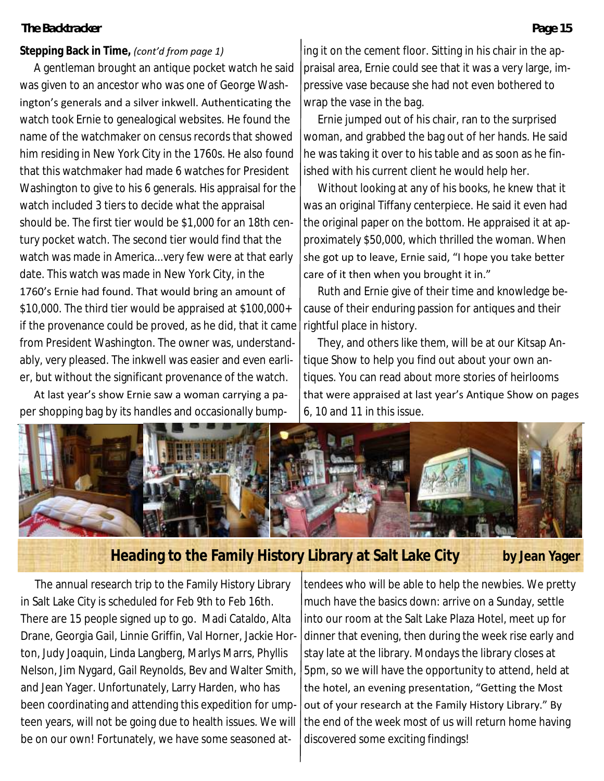### **Stepping Back in Time,** *(cont'd from page 1)*

A gentleman brought an antique pocket watch he said was given to an ancestor who was one of George Washington's generals and a silver inkwell. Authenticating the watch took Ernie to genealogical websites. He found the name of the watchmaker on census records that showed him residing in New York City in the 1760s. He also found that this watchmaker had made 6 watches for President Washington to give to his 6 generals. His appraisal for the watch included 3 tiers to decide what the appraisal should be. The first tier would be \$1,000 for an 18th century pocket watch. The second tier would find that the watch was made in America...very few were at that early date. This watch was made in New York City, in the

1760's Ernie had found. That would bring an amount of \$10,000. The third tier would be appraised at \$100,000+ if the provenance could be proved, as he did, that it came from President Washington. The owner was, understandably, very pleased. The inkwell was easier and even earlier, but without the significant provenance of the watch.

At last year's show Ernie saw a woman carrying a paper shopping bag by its handles and occasionally bumping it on the cement floor. Sitting in his chair in the appraisal area, Ernie could see that it was a very large, impressive vase because she had not even bothered to wrap the vase in the bag.

Ernie jumped out of his chair, ran to the surprised woman, and grabbed the bag out of her hands. He said he was taking it over to his table and as soon as he finished with his current client he would help her.

Without looking at any of his books, he knew that it was an original Tiffany centerpiece. He said it even had the original paper on the bottom. He appraised it at approximately \$50,000, which thrilled the woman. When she got up to leave, Ernie said, "I hope you take better care of it then when you brought it in."

Ruth and Ernie give of their time and knowledge because of their enduring passion for antiques and their rightful place in history.

They, and others like them, will be at our Kitsap Antique Show to help you find out about your own antiques. You can read about more stories of heirlooms that were appraised at last year's Antique Show on pages 6, 10 and 11 in this issue.



## **Heading to the Family History Library at Salt Lake City by Jean Yager**

The annual research trip to the Family History Library in Salt Lake City is scheduled for Feb 9th to Feb 16th. There are 15 people signed up to go. Madi Cataldo, Alta Drane, Georgia Gail, Linnie Griffin, Val Horner, Jackie Horton, Judy Joaquin, Linda Langberg, Marlys Marrs, Phyllis Nelson, Jim Nygard, Gail Reynolds, Bev and Walter Smith, and Jean Yager. Unfortunately, Larry Harden, who has been coordinating and attending this expedition for umpteen years, will not be going due to health issues. We will be on our own! Fortunately, we have some seasoned at-

tendees who will be able to help the newbies. We pretty much have the basics down: arrive on a Sunday, settle into our room at the Salt Lake Plaza Hotel, meet up for dinner that evening, then during the week rise early and stay late at the library. Mondays the library closes at 5pm, so we will have the opportunity to attend, held at the hotel, an evening presentation, "Getting the Most out of your research at the Family History Library." By the end of the week most of us will return home having discovered some exciting findings!